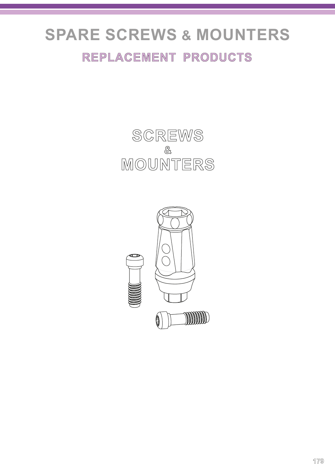# **SPARE SCREWS & MOUNTERS**

### **REPLACEMENT PRODUCTS**



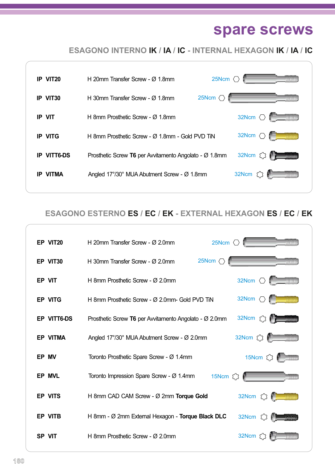## **spare screws**

**ESAGONO INTERNO IK / IA / IC - INTERNAL HEXAGON IK / IA / IC**



#### **ESAGONO ESTERNO ES / EC / EK - EXTERNAL HEXAGON ES / EC / EK**